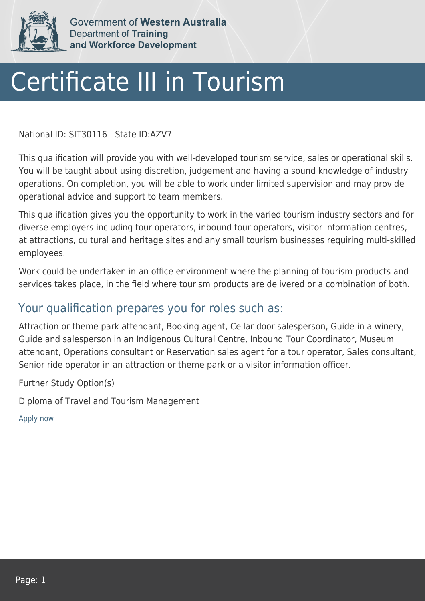

Government of Western Australia Department of Training and Workforce Development

## Certificate III in Tourism

National ID: SIT30116 | State ID:AZV7

This qualification will provide you with well-developed tourism service, sales or operational skills. You will be taught about using discretion, judgement and having a sound knowledge of industry operations. On completion, you will be able to work under limited supervision and may provide operational advice and support to team members.

This qualification gives you the opportunity to work in the varied tourism industry sectors and for diverse employers including tour operators, inbound tour operators, visitor information centres, at attractions, cultural and heritage sites and any small tourism businesses requiring multi-skilled employees.

Work could be undertaken in an office environment where the planning of tourism products and services takes place, in the field where tourism products are delivered or a combination of both.

## Your qualification prepares you for roles such as:

Attraction or theme park attendant, Booking agent, Cellar door salesperson, Guide in a winery, Guide and salesperson in an Indigenous Cultural Centre, Inbound Tour Coordinator, Museum attendant, Operations consultant or Reservation sales agent for a tour operator, Sales consultant, Senior ride operator in an attraction or theme park or a visitor information officer.

Further Study Option(s)

Diploma of Travel and Tourism Management

[Apply now](https://tasonline.tafe.wa.edu.au/Default.aspx)